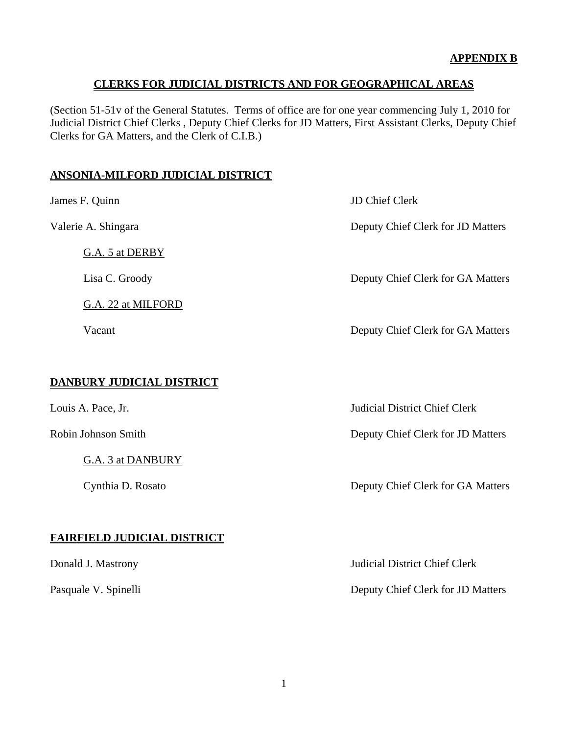(Section 51-51v of the General Statutes. Terms of office are for one year commencing July 1, 2010 for Judicial District Chief Clerks , Deputy Chief Clerks for JD Matters, First Assistant Clerks, Deputy Chief Clerks for GA Matters, and the Clerk of C.I.B.)

#### **ANSONIA-MILFORD JUDICIAL DISTRICT**

James F. Quinn JD Chief Clerk Valerie A. Shingara Deputy Chief Clerk for JD Matters G.A. 5 at DERBY Lisa C. Groody Deputy Chief Clerk for GA Matters G.A. 22 at MILFORD Vacant Deputy Chief Clerk for GA Matters **DANBURY JUDICIAL DISTRICT** Louis A. Pace, Jr. Judicial District Chief Clerk Robin Johnson Smith Deputy Chief Clerk for JD Matters G.A. 3 at DANBURY Cynthia D. Rosato Deputy Chief Clerk for GA Matters **FAIRFIELD JUDICIAL DISTRICT** Donald J. Mastrony Judicial District Chief Clerk Pasquale V. Spinelli Deputy Chief Clerk for JD Matters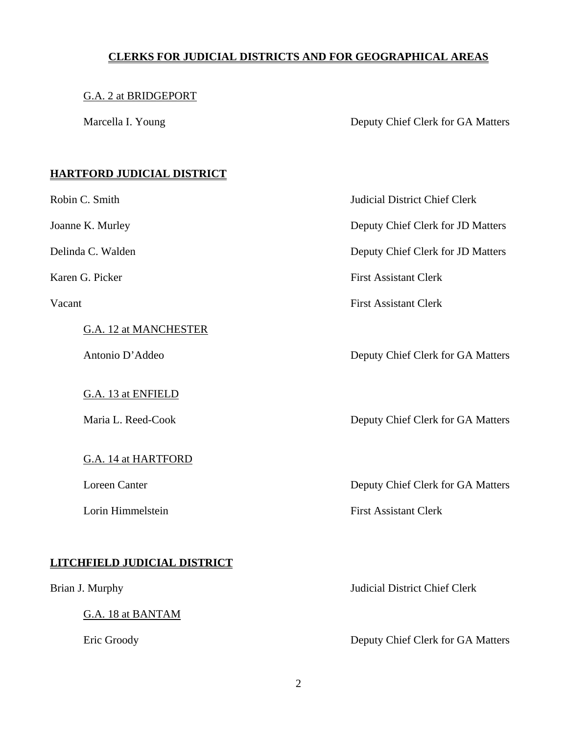#### G.A. 2 at BRIDGEPORT

Marcella I. Young Deputy Chief Clerk for GA Matters

### **HARTFORD JUDICIAL DISTRICT**

G.A. 12 at MANCHESTER

G.A. 13 at ENFIELD

G.A. 14 at HARTFORD

## **LITCHFIELD JUDICIAL DISTRICT**

G.A. 18 at BANTAM

Robin C. Smith Judicial District Chief Clerk

Joanne K. Murley Deputy Chief Clerk for JD Matters

Delinda C. Walden Deputy Chief Clerk for JD Matters

Karen G. Picker First Assistant Clerk

Vacant First Assistant Clerk

Antonio D'Addeo Deputy Chief Clerk for GA Matters

Maria L. Reed-Cook Deputy Chief Clerk for GA Matters

Loreen Canter **Deputy Chief Clerk for GA Matters** 

Lorin Himmelstein First Assistant Clerk

Brian J. Murphy Judicial District Chief Clerk

Eric Groody Deputy Chief Clerk for GA Matters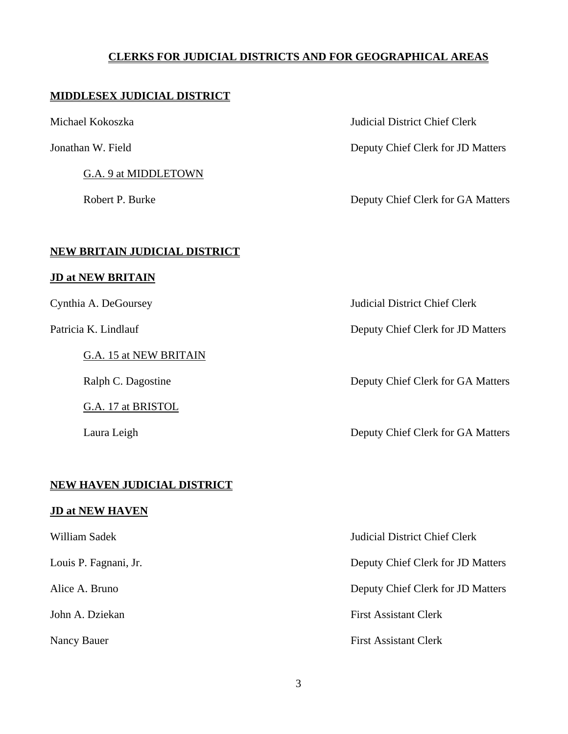#### **MIDDLESEX JUDICIAL DISTRICT**

G.A. 9 at MIDDLETOWN

Michael Kokoszka Judicial District Chief Clerk

Jonathan W. Field Deputy Chief Clerk for JD Matters

Robert P. Burke Deputy Chief Clerk for GA Matters

#### **NEW BRITAIN JUDICIAL DISTRICT**

#### **JD at NEW BRITAIN**

G.A. 15 at NEW BRITAIN

G.A. 17 at BRISTOL

### **NEW HAVEN JUDICIAL DISTRICT**

#### **JD at NEW HAVEN**

Cynthia A. DeGoursey Judicial District Chief Clerk

Patricia K. Lindlauf Deputy Chief Clerk for JD Matters

Ralph C. Dagostine Deputy Chief Clerk for GA Matters

Laura Leigh Deputy Chief Clerk for GA Matters

William Sadek Judicial District Chief Clerk Louis P. Fagnani, Jr. Deputy Chief Clerk for JD Matters Alice A. Bruno Deputy Chief Clerk for JD Matters John A. Dziekan First Assistant Clerk Nancy Bauer First Assistant Clerk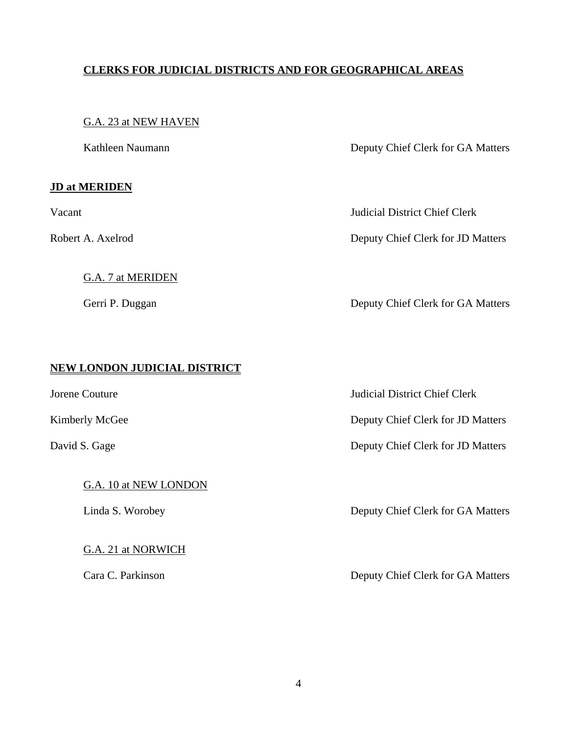#### G.A. 23 at NEW HAVEN

#### **JD at MERIDEN**

G.A. 7 at MERIDEN

Kathleen Naumann Deputy Chief Clerk for GA Matters

Vacant Judicial District Chief Clerk

Robert A. Axelrod Deputy Chief Clerk for JD Matters

Gerri P. Duggan Deputy Chief Clerk for GA Matters

### **NEW LONDON JUDICIAL DISTRICT**

G.A. 10 at NEW LONDON

G.A. 21 at NORWICH

Jorene Couture Judicial District Chief Clerk

Kimberly McGee Deputy Chief Clerk for JD Matters

David S. Gage Deputy Chief Clerk for JD Matters

Linda S. Worobey Deputy Chief Clerk for GA Matters

Cara C. Parkinson Deputy Chief Clerk for GA Matters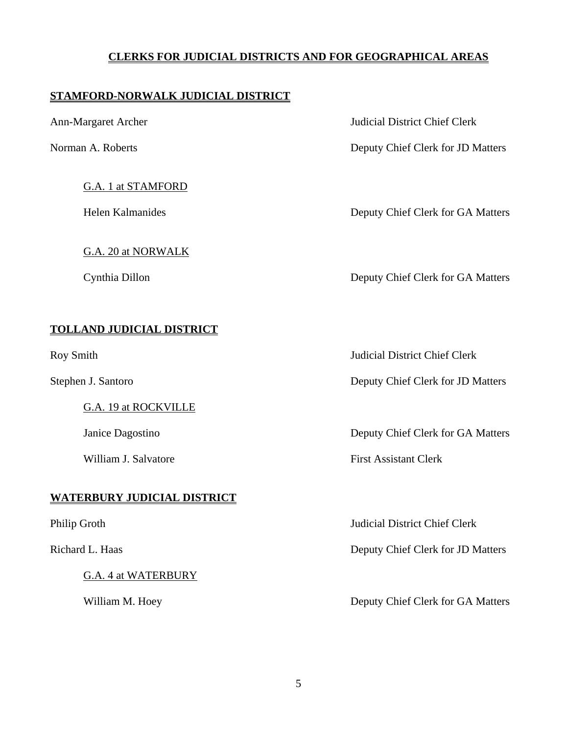### **STAMFORD-NORWALK JUDICIAL DISTRICT**

### G.A. 1 at STAMFORD

G.A. 20 at NORWALK

Ann-Margaret Archer Judicial District Chief Clerk

Norman A. Roberts Deputy Chief Clerk for JD Matters

Helen Kalmanides Deputy Chief Clerk for GA Matters

Cynthia Dillon Deputy Chief Clerk for GA Matters

### **TOLLAND JUDICIAL DISTRICT**

G.A. 19 at ROCKVILLE

### **WATERBURY JUDICIAL DISTRICT**

G.A. 4 at WATERBURY

Roy Smith Judicial District Chief Clerk

Stephen J. Santoro Deputy Chief Clerk for JD Matters

Janice Dagostino Deputy Chief Clerk for GA Matters

William J. Salvatore **First Assistant Clerk** 

Philip Groth Judicial District Chief Clerk

Richard L. Haas Deputy Chief Clerk for JD Matters

William M. Hoey Deputy Chief Clerk for GA Matters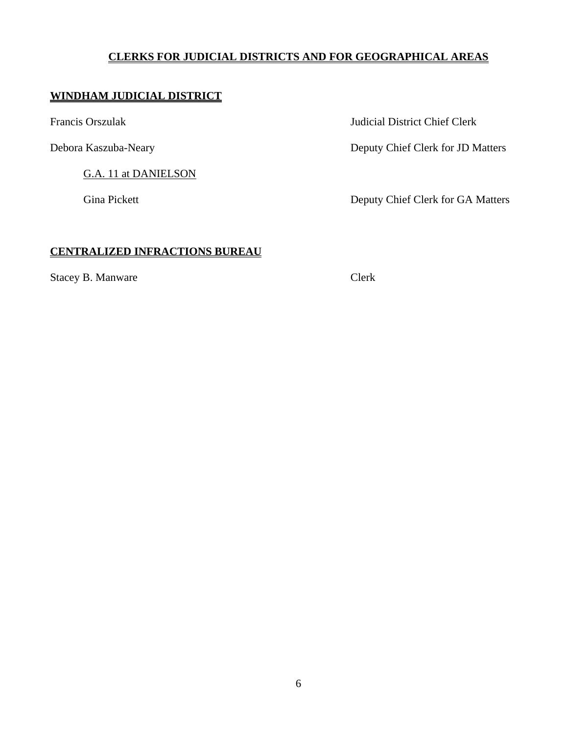### **WINDHAM JUDICIAL DISTRICT**

G.A. 11 at DANIELSON

Francis Orszulak Judicial District Chief Clerk

Debora Kaszuba-Neary Deputy Chief Clerk for JD Matters

Gina Pickett **Deputy Chief Clerk for GA Matters** 

### **CENTRALIZED INFRACTIONS BUREAU**

Stacey B. Manware Clerk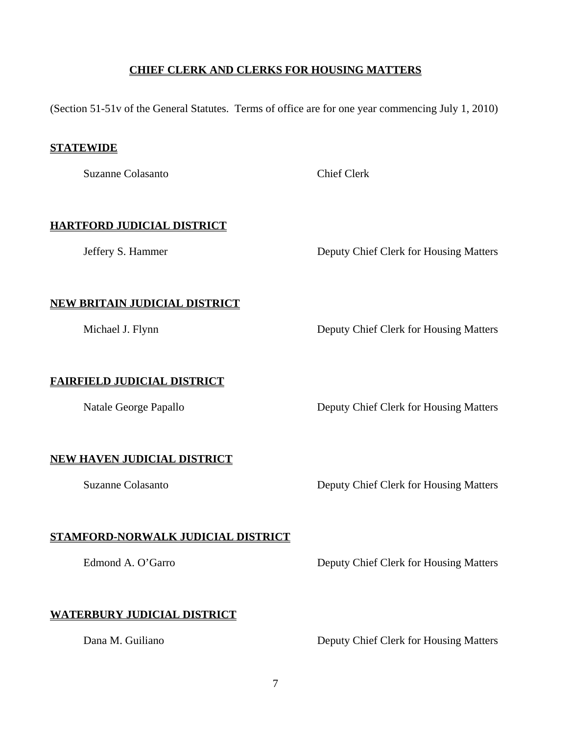#### **CHIEF CLERK AND CLERKS FOR HOUSING MATTERS**

(Section 51-51v of the General Statutes. Terms of office are for one year commencing July 1, 2010)

#### **STATEWIDE**

Suzanne Colasanto Chief Clerk

### **HARTFORD JUDICIAL DISTRICT**

Jeffery S. Hammer Deputy Chief Clerk for Housing Matters

### **NEW BRITAIN JUDICIAL DISTRICT**

Michael J. Flynn Deputy Chief Clerk for Housing Matters

### **FAIRFIELD JUDICIAL DISTRICT**

Natale George Papallo **Deputy Chief Clerk for Housing Matters** 

### **NEW HAVEN JUDICIAL DISTRICT**

Suzanne Colasanto Deputy Chief Clerk for Housing Matters

### **STAMFORD-NORWALK JUDICIAL DISTRICT**

Edmond A. O'Garro Deputy Chief Clerk for Housing Matters

### **WATERBURY JUDICIAL DISTRICT**

Dana M. Guiliano Deputy Chief Clerk for Housing Matters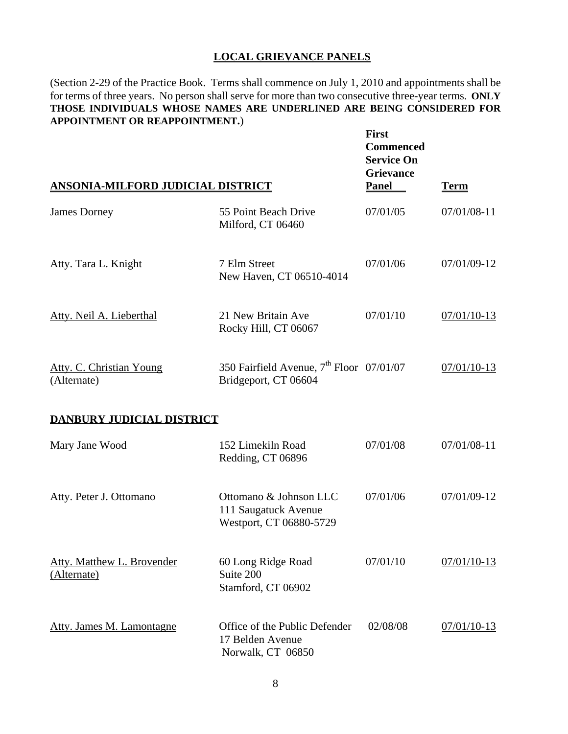#### **LOCAL GRIEVANCE PANELS**

(Section 2-29 of the Practice Book. Terms shall commence on July 1, 2010 and appointments shall be for terms of three years. No person shall serve for more than two consecutive three-year terms. **ONLY THOSE INDIVIDUALS WHOSE NAMES ARE UNDERLINED ARE BEING CONSIDERED FOR APPOINTMENT OR REAPPOINTMENT.**)

| <b>ANSONIA-MILFORD JUDICIAL DISTRICT</b>         |                                                                              | <b>First</b><br><b>Commenced</b><br><b>Service On</b><br><b>Grievance</b><br><b>Panel</b> | <u>Term</u>   |
|--------------------------------------------------|------------------------------------------------------------------------------|-------------------------------------------------------------------------------------------|---------------|
| <b>James Dorney</b>                              | 55 Point Beach Drive<br>Milford, CT 06460                                    | 07/01/05                                                                                  | 07/01/08-11   |
| Atty. Tara L. Knight                             | 7 Elm Street<br>New Haven, CT 06510-4014                                     | 07/01/06                                                                                  | 07/01/09-12   |
| Atty. Neil A. Lieberthal                         | 21 New Britain Ave<br>Rocky Hill, CT 06067                                   | 07/01/10                                                                                  | $07/01/10-13$ |
| <b>Atty. C. Christian Young</b><br>(Alternate)   | 350 Fairfield Avenue, 7 <sup>th</sup> Floor 07/01/07<br>Bridgeport, CT 06604 |                                                                                           | 07/01/10-13   |
| <b>DANBURY JUDICIAL DISTRICT</b>                 |                                                                              |                                                                                           |               |
| Mary Jane Wood                                   | 152 Limekiln Road<br>Redding, CT 06896                                       | 07/01/08                                                                                  | 07/01/08-11   |
| Atty. Peter J. Ottomano                          | Ottomano & Johnson LLC<br>111 Saugatuck Avenue<br>Westport, CT 06880-5729    | 07/01/06                                                                                  | 07/01/09-12   |
| <b>Atty. Matthew L. Brovender</b><br>(Alternate) | 60 Long Ridge Road<br>Suite 200<br>Stamford, CT 06902                        | 07/01/10                                                                                  | $07/01/10-13$ |
| <b>Atty. James M. Lamontagne</b>                 | Office of the Public Defender<br>17 Belden Avenue<br>Norwalk, CT 06850       | 02/08/08                                                                                  | $07/01/10-13$ |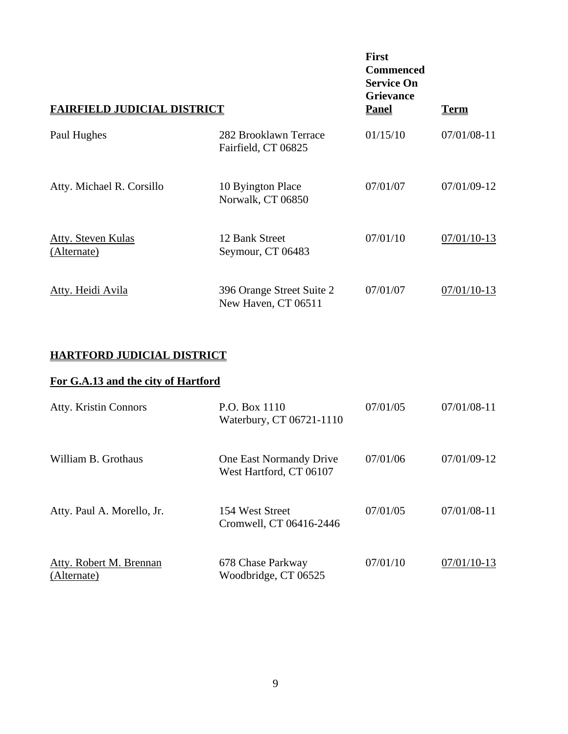| <b>FAIRFIELD JUDICIAL DISTRICT</b>       | <b>First</b><br><b>Commenced</b><br><b>Service On</b><br><b>Grievance</b><br><b>Panel</b> | <u>Term</u> |               |
|------------------------------------------|-------------------------------------------------------------------------------------------|-------------|---------------|
| Paul Hughes                              | 282 Brooklawn Terrace<br>Fairfield, CT 06825                                              | 01/15/10    | $07/01/08-11$ |
| Atty. Michael R. Corsillo                | 10 Byington Place<br>Norwalk, CT 06850                                                    | 07/01/07    | 07/01/09-12   |
| <b>Atty. Steven Kulas</b><br>(Alternate) | 12 Bank Street<br>Seymour, CT 06483                                                       | 07/01/10    | $07/01/10-13$ |
| Atty. Heidi Avila                        | 396 Orange Street Suite 2<br>New Haven, CT 06511                                          | 07/01/07    | 07/01/10-13   |

## **HARTFORD JUDICIAL DISTRICT**

## **For G.A.13 and the city of Hartford**

| <b>Atty. Kristin Connors</b>           | P.O. Box 1110<br>Waterbury, CT 06721-1110          | 07/01/05 | $07/01/08-11$ |
|----------------------------------------|----------------------------------------------------|----------|---------------|
| William B. Grothaus                    | One East Normandy Drive<br>West Hartford, CT 06107 | 07/01/06 | 07/01/09-12   |
| Atty. Paul A. Morello, Jr.             | 154 West Street<br>Cromwell, CT 06416-2446         | 07/01/05 | $07/01/08-11$ |
| Atty. Robert M. Brennan<br>(Alternate) | 678 Chase Parkway<br>Woodbridge, CT 06525          | 07/01/10 | $07/01/10-13$ |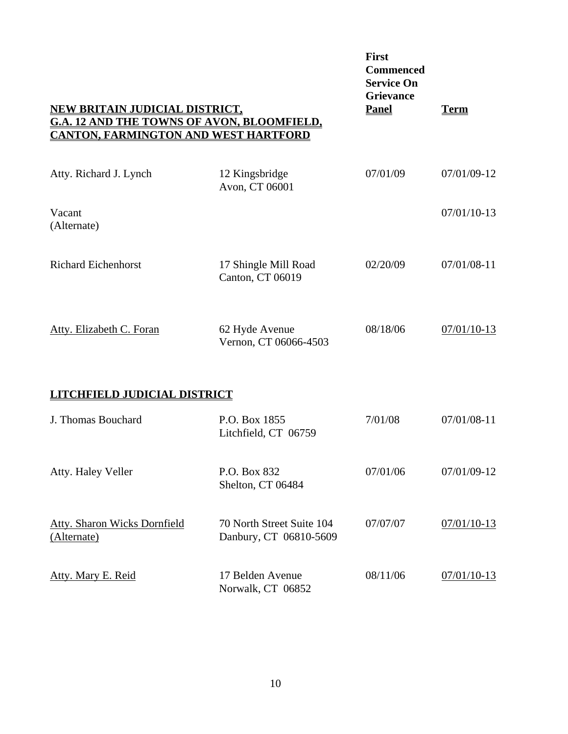| <b>NEW BRITAIN JUDICIAL DISTRICT,</b><br><b>G.A. 12 AND THE TOWNS OF AVON, BLOOMFIELD,</b><br><u>CANTON, FARMINGTON AND WEST HARTFORD</u> | <b>First</b><br><b>Commenced</b><br><b>Service On</b><br><b>Grievance</b><br><b>Panel</b> | <u>Term</u> |               |
|-------------------------------------------------------------------------------------------------------------------------------------------|-------------------------------------------------------------------------------------------|-------------|---------------|
| Atty. Richard J. Lynch                                                                                                                    | 12 Kingsbridge<br>Avon, CT 06001                                                          | 07/01/09    | 07/01/09-12   |
| Vacant<br>(Alternate)                                                                                                                     |                                                                                           |             | $07/01/10-13$ |
| <b>Richard Eichenhorst</b>                                                                                                                | 17 Shingle Mill Road<br>Canton, CT 06019                                                  | 02/20/09    | 07/01/08-11   |
| Atty. Elizabeth C. Foran                                                                                                                  | 62 Hyde Avenue<br>Vernon, CT 06066-4503                                                   | 08/18/06    | $07/01/10-13$ |
| <b>CHFIELD JUDICIAL DISTRICT</b>                                                                                                          |                                                                                           |             |               |
| J. Thomas Bouchard                                                                                                                        | P.O. Box 1855<br>Litchfield, CT 06759                                                     | 7/01/08     | 07/01/08-11   |
| Atty. Haley Veller                                                                                                                        | P.O. Box 832<br>Shelton, CT 06484                                                         | 07/01/06    | 07/01/09-12   |
| <b>Atty. Sharon Wicks Dornfield</b><br>(Alternate)                                                                                        | 70 North Street Suite 104<br>Danbury, CT 06810-5609                                       | 07/07/07    | $07/01/10-13$ |
| Atty. Mary E. Reid                                                                                                                        | 17 Belden Avenue<br>Norwalk, CT 06852                                                     | 08/11/06    | $07/01/10-13$ |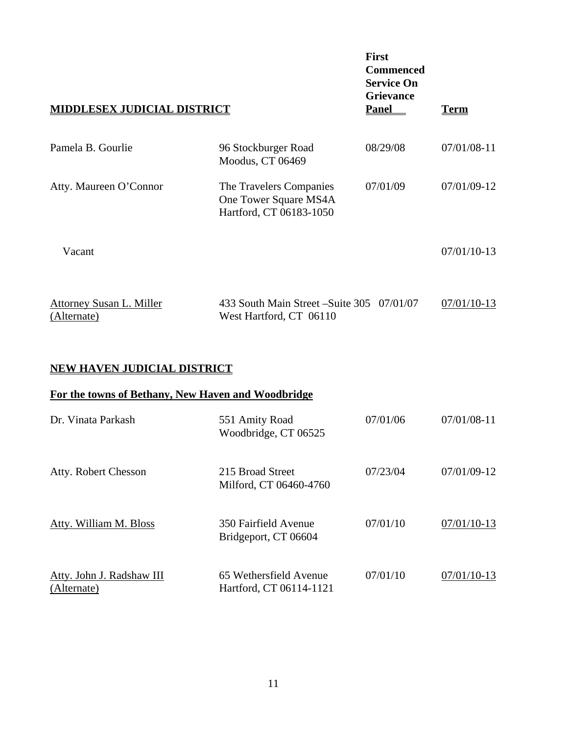| <b>DDLESEX JUDICIAL DISTRICT</b>        |                                                                             | <b>First</b><br><b>Commenced</b><br><b>Service On</b><br><b>Grievance</b><br><b>Panel</b> | <u>Term</u>   |
|-----------------------------------------|-----------------------------------------------------------------------------|-------------------------------------------------------------------------------------------|---------------|
| Pamela B. Gourlie                       | 96 Stockburger Road<br>Moodus, CT 06469                                     | 08/29/08                                                                                  | 07/01/08-11   |
| Atty. Maureen O'Connor                  | The Travelers Companies<br>One Tower Square MS4A<br>Hartford, CT 06183-1050 | 07/01/09                                                                                  | 07/01/09-12   |
| Vacant                                  |                                                                             |                                                                                           | $07/01/10-13$ |
| Attorney Susan L. Miller<br>(Alternate) | 433 South Main Street – Suite 305 07/01/07<br>West Hartford, CT 06110       |                                                                                           | 07/01/10-13   |

### **NEW HAVEN JUDICIAL DISTRICT**

### **For the towns of Bethany, New Haven and Woodbridge**

| Dr. Vinata Parkash                       | 551 Amity Road<br>Woodbridge, CT 06525            | 07/01/06 | $07/01/08-11$ |
|------------------------------------------|---------------------------------------------------|----------|---------------|
| Atty. Robert Chesson                     | 215 Broad Street<br>Milford, CT 06460-4760        | 07/23/04 | $07/01/09-12$ |
| Atty. William M. Bloss                   | 350 Fairfield Avenue<br>Bridgeport, CT 06604      | 07/01/10 | $07/01/10-13$ |
| Atty. John J. Radshaw III<br>(Alternate) | 65 Wethersfield Avenue<br>Hartford, CT 06114-1121 | 07/01/10 | $07/01/10-13$ |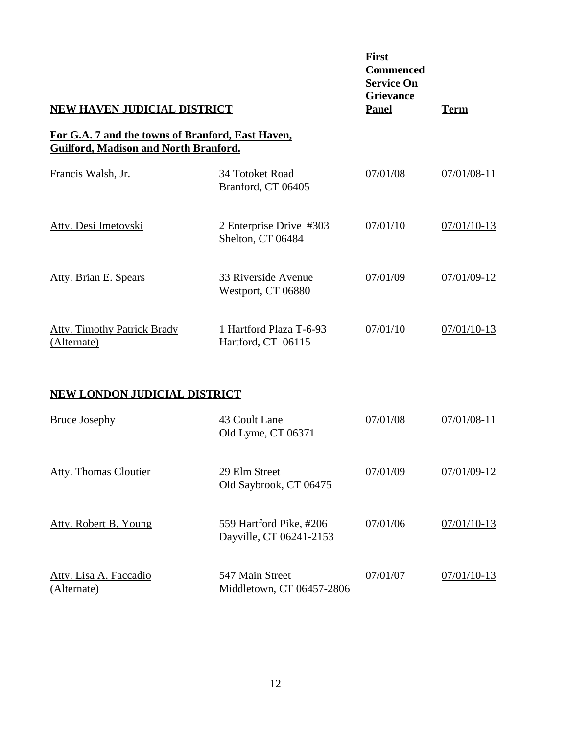| <b>NEW HAVEN JUDICIAL DISTRICT</b>                |                                                    | <b>First</b><br><b>Commenced</b><br><b>Service On</b><br><b>Grievance</b><br><b>Panel</b> | <u>Term</u>   |
|---------------------------------------------------|----------------------------------------------------|-------------------------------------------------------------------------------------------|---------------|
| For G.A. 7 and the towns of Branford, East Haven, |                                                    |                                                                                           |               |
| Guilford, Madison and North Branford.             |                                                    |                                                                                           |               |
| Francis Walsh, Jr.                                | 34 Totoket Road<br>Branford, CT 06405              | 07/01/08                                                                                  | $07/01/08-11$ |
| Atty. Desi Imetovski                              | 2 Enterprise Drive #303<br>Shelton, CT 06484       | 07/01/10                                                                                  | $07/01/10-13$ |
| Atty. Brian E. Spears                             | 33 Riverside Avenue<br>Westport, CT 06880          | 07/01/09                                                                                  | 07/01/09-12   |
| <b>Atty. Timothy Patrick Brady</b><br>(Alternate) | 1 Hartford Plaza T-6-93<br>Hartford, CT 06115      | 07/01/10                                                                                  | 07/01/10-13   |
| <b>NEW LONDON JUDICIAL DISTRICT</b>               |                                                    |                                                                                           |               |
| <b>Bruce Josephy</b>                              | 43 Coult Lane<br>Old Lyme, CT 06371                | 07/01/08                                                                                  | 07/01/08-11   |
| Atty. Thomas Cloutier                             | 29 Elm Street<br>Old Saybrook, CT 06475            | 07/01/09                                                                                  | 07/01/09-12   |
| <b>Atty. Robert B. Young</b>                      | 559 Hartford Pike, #206<br>Dayville, CT 06241-2153 | 07/01/06                                                                                  | $07/01/10-13$ |
| Atty. Lisa A. Faccadio<br>(Alternate)             | 547 Main Street<br>Middletown, CT 06457-2806       | 07/01/07                                                                                  | $07/01/10-13$ |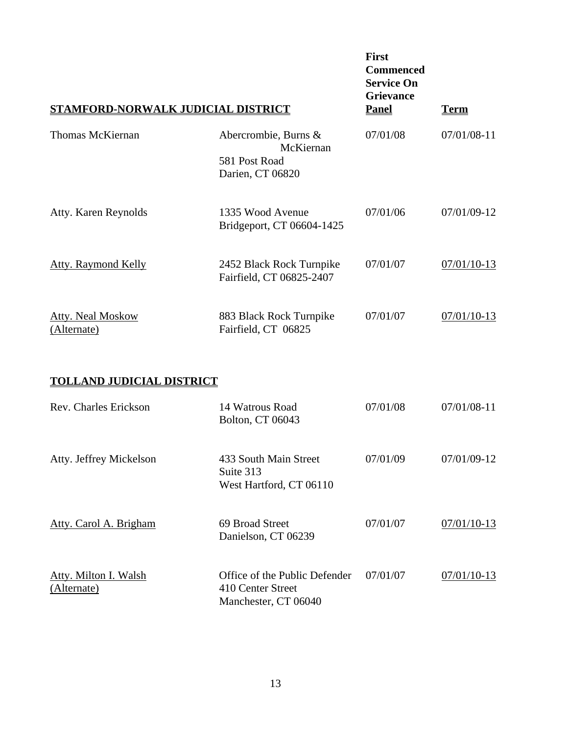| STAMFORD-NORWALK JUDICIAL DISTRICT | <b>First</b><br><b>Commenced</b><br><b>Service On</b><br><b>Grievance</b><br><b>Panel</b> | <u>Term</u> |               |
|------------------------------------|-------------------------------------------------------------------------------------------|-------------|---------------|
| Thomas McKiernan                   | Abercrombie, Burns &<br>McKiernan<br>581 Post Road<br>Darien, CT 06820                    | 07/01/08    | 07/01/08-11   |
| Atty. Karen Reynolds               | 1335 Wood Avenue<br>Bridgeport, CT 06604-1425                                             | 07/01/06    | 07/01/09-12   |
| <b>Atty. Raymond Kelly</b>         | 2452 Black Rock Turnpike<br>Fairfield, CT 06825-2407                                      | 07/01/07    | $07/01/10-13$ |
| Atty. Neal Moskow<br>(Alternate)   | 883 Black Rock Turnpike<br>Fairfield, CT 06825                                            | 07/01/07    | $07/01/10-13$ |

### **TOLLAND JUDICIAL DISTRICT**

| Rev. Charles Erickson                | 14 Watrous Road<br>Bolton, CT 06043                                        | 07/01/08 | $07/01/08-11$ |
|--------------------------------------|----------------------------------------------------------------------------|----------|---------------|
| Atty. Jeffrey Mickelson              | 433 South Main Street<br>Suite 313<br>West Hartford, CT 06110              | 07/01/09 | 07/01/09-12   |
| Atty. Carol A. Brigham               | 69 Broad Street<br>Danielson, CT 06239                                     | 07/01/07 | $07/01/10-13$ |
| Atty. Milton I. Walsh<br>(Alternate) | Office of the Public Defender<br>410 Center Street<br>Manchester, CT 06040 | 07/01/07 | $07/01/10-13$ |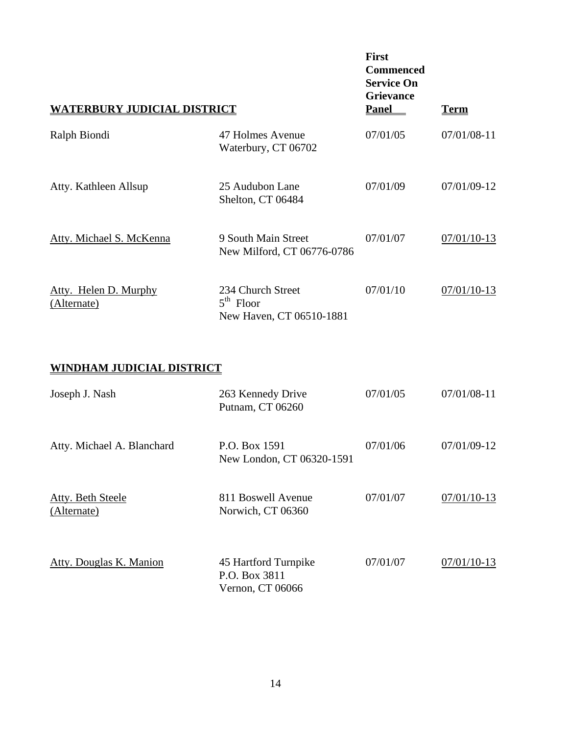| <b>WATERBURY JUDICIAL DISTRICT</b>   | <b>First</b><br><b>Commenced</b><br><b>Service On</b><br><b>Grievance</b><br><b>Panel</b> | <u>Term</u> |             |
|--------------------------------------|-------------------------------------------------------------------------------------------|-------------|-------------|
| Ralph Biondi                         | 47 Holmes Avenue<br>Waterbury, CT 06702                                                   | 07/01/05    | 07/01/08-11 |
| Atty. Kathleen Allsup                | 25 Audubon Lane<br>Shelton, CT 06484                                                      | 07/01/09    | 07/01/09-12 |
| Atty. Michael S. McKenna             | 9 South Main Street<br>New Milford, CT 06776-0786                                         | 07/01/07    | 07/01/10-13 |
| Atty. Helen D. Murphy<br>(Alternate) | 234 Church Street<br>$5th$ Floor<br>New Haven, CT 06510-1881                              | 07/01/10    | 07/01/10-13 |

### **WINDHAM JUDICIAL DISTRICT**

| Joseph J. Nash                   | 263 Kennedy Drive<br>Putnam, CT 06260                     | 07/01/05 | 07/01/08-11   |
|----------------------------------|-----------------------------------------------------------|----------|---------------|
| Atty. Michael A. Blanchard       | P.O. Box 1591<br>New London, CT 06320-1591                | 07/01/06 | 07/01/09-12   |
| Atty. Beth Steele<br>(Alternate) | 811 Boswell Avenue<br>Norwich, CT 06360                   | 07/01/07 | $07/01/10-13$ |
| Atty. Douglas K. Manion          | 45 Hartford Turnpike<br>P.O. Box 3811<br>Vernon, CT 06066 | 07/01/07 | $07/01/10-13$ |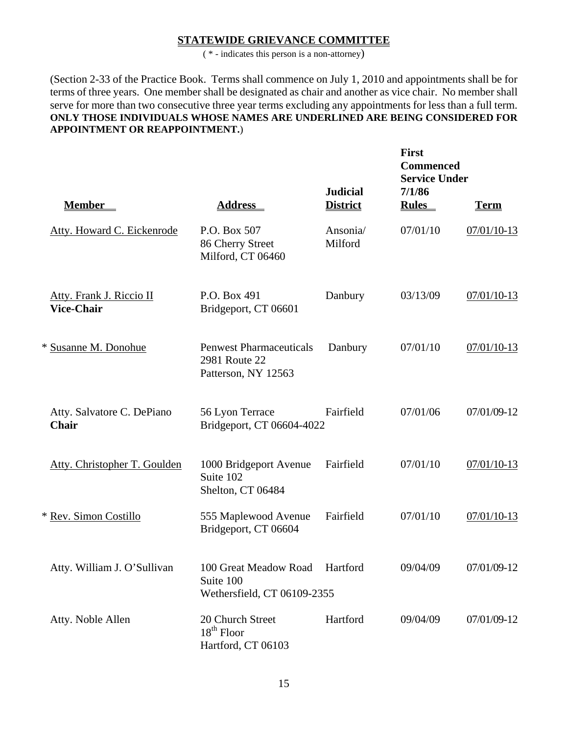#### **STATEWIDE GRIEVANCE COMMITTEE**

( \* - indicates this person is a non-attorney)

(Section 2-33 of the Practice Book. Terms shall commence on July 1, 2010 and appointments shall be for terms of three years. One member shall be designated as chair and another as vice chair. No member shall serve for more than two consecutive three year terms excluding any appointments for less than a full term. **ONLY THOSE INDIVIDUALS WHOSE NAMES ARE UNDERLINED ARE BEING CONSIDERED FOR APPOINTMENT OR REAPPOINTMENT.**)

|                                                      |                                                                        |                                    | <b>First</b><br><b>Commenced</b><br><b>Service Under</b><br>7/1/86 |             |
|------------------------------------------------------|------------------------------------------------------------------------|------------------------------------|--------------------------------------------------------------------|-------------|
| <b>Member</b>                                        | <b>Address</b>                                                         | <b>Judicial</b><br><b>District</b> | <b>Rules</b>                                                       | <b>Term</b> |
| Atty. Howard C. Eickenrode                           | P.O. Box 507<br>86 Cherry Street<br>Milford, CT 06460                  | Ansonia/<br>Milford                | 07/01/10                                                           | 07/01/10-13 |
| <b>Atty. Frank J. Riccio II</b><br><b>Vice-Chair</b> | P.O. Box 491<br>Bridgeport, CT 06601                                   | Danbury                            | 03/13/09                                                           | 07/01/10-13 |
| * Susanne M. Donohue                                 | <b>Penwest Pharmaceuticals</b><br>2981 Route 22<br>Patterson, NY 12563 | Danbury                            | 07/01/10                                                           | 07/01/10-13 |
| Atty. Salvatore C. DePiano<br>Chair                  | 56 Lyon Terrace<br>Bridgeport, CT 06604-4022                           | Fairfield                          | 07/01/06                                                           | 07/01/09-12 |
| Atty. Christopher T. Goulden                         | 1000 Bridgeport Avenue<br>Suite 102<br>Shelton, CT 06484               | Fairfield                          | 07/01/10                                                           | 07/01/10-13 |
| * Rev. Simon Costillo                                | 555 Maplewood Avenue<br>Bridgeport, CT 06604                           | Fairfield                          | 07/01/10                                                           | 07/01/10-13 |
| Atty. William J. O'Sullivan                          | 100 Great Meadow Road<br>Suite 100<br>Wethersfield, CT 06109-2355      | Hartford                           | 09/04/09                                                           | 07/01/09-12 |
| Atty. Noble Allen                                    | 20 Church Street<br>$18th$ Floor<br>Hartford, CT 06103                 | Hartford                           | 09/04/09                                                           | 07/01/09-12 |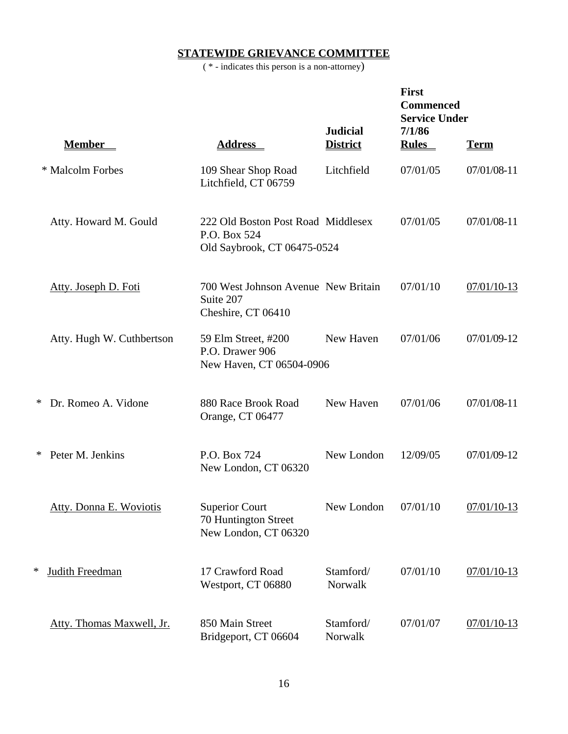## **STATEWIDE GRIEVANCE COMMITTEE**

( \* - indicates this person is a non-attorney)

|   |                                |                                                                                   | <b>Judicial</b>      | <b>First</b><br><b>Commenced</b><br><b>Service Under</b><br>7/1/86 |               |
|---|--------------------------------|-----------------------------------------------------------------------------------|----------------------|--------------------------------------------------------------------|---------------|
|   | <b>Member</b>                  | <b>Address</b>                                                                    | <b>District</b>      | <b>Rules</b>                                                       | <b>Term</b>   |
|   | * Malcolm Forbes               | 109 Shear Shop Road<br>Litchfield, CT 06759                                       | Litchfield           | 07/01/05                                                           | 07/01/08-11   |
|   | Atty. Howard M. Gould          | 222 Old Boston Post Road Middlesex<br>P.O. Box 524<br>Old Saybrook, CT 06475-0524 |                      | 07/01/05                                                           | 07/01/08-11   |
|   | Atty. Joseph D. Foti           | 700 West Johnson Avenue New Britain<br>Suite 207<br>Cheshire, CT 06410            |                      | 07/01/10                                                           | 07/01/10-13   |
|   | Atty. Hugh W. Cuthbertson      | 59 Elm Street, #200<br>P.O. Drawer 906<br>New Haven, CT 06504-0906                | New Haven            | 07/01/06                                                           | 07/01/09-12   |
| ∗ | Dr. Romeo A. Vidone            | 880 Race Brook Road<br>Orange, CT 06477                                           | New Haven            | 07/01/06                                                           | 07/01/08-11   |
| ∗ | Peter M. Jenkins               | P.O. Box 724<br>New London, CT 06320                                              | New London           | 12/09/05                                                           | 07/01/09-12   |
|   | <b>Atty. Donna E. Woviotis</b> | <b>Superior Court</b><br>70 Huntington Street<br>New London, CT 06320             | New London           | 07/01/10                                                           | 07/01/10-13   |
| ∗ | <b>Judith Freedman</b>         | 17 Crawford Road<br>Westport, CT 06880                                            | Stamford/<br>Norwalk | 07/01/10                                                           | $07/01/10-13$ |
|   | Atty. Thomas Maxwell, Jr.      | 850 Main Street<br>Bridgeport, CT 06604                                           | Stamford/<br>Norwalk | 07/01/07                                                           | $07/01/10-13$ |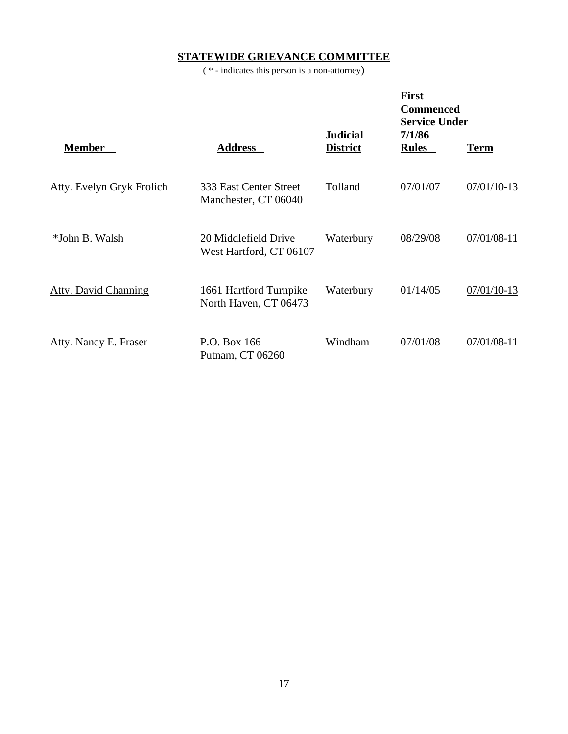## **STATEWIDE GRIEVANCE COMMITTEE**

( \* - indicates this person is a non-attorney)

|                                  |                                                 | <b>Judicial</b> | <b>First</b><br><b>Commenced</b><br><b>Service Under</b><br>7/1/86 |             |
|----------------------------------|-------------------------------------------------|-----------------|--------------------------------------------------------------------|-------------|
| <b>Member</b>                    | <u>Address</u>                                  | <b>District</b> | <b>Rules</b>                                                       | <u>Term</u> |
| <b>Atty. Evelyn Gryk Frolich</b> | 333 East Center Street<br>Manchester, CT 06040  | Tolland         | 07/01/07                                                           | 07/01/10-13 |
| *John B. Walsh                   | 20 Middlefield Drive<br>West Hartford, CT 06107 | Waterbury       | 08/29/08                                                           | 07/01/08-11 |
| <b>Atty. David Channing</b>      | 1661 Hartford Turnpike<br>North Haven, CT 06473 | Waterbury       | 01/14/05                                                           | 07/01/10-13 |
| Atty. Nancy E. Fraser            | P.O. Box 166<br>Putnam, CT 06260                | Windham         | 07/01/08                                                           | 07/01/08-11 |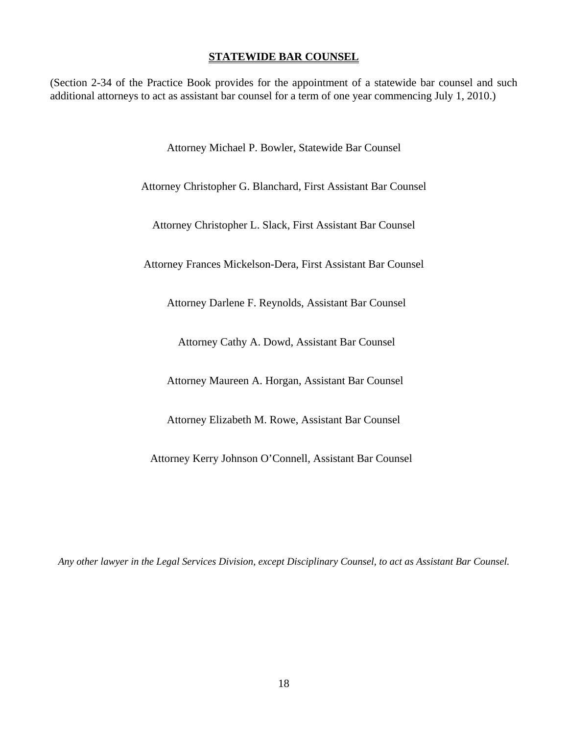#### **STATEWIDE BAR COUNSEL**

(Section 2-34 of the Practice Book provides for the appointment of a statewide bar counsel and such additional attorneys to act as assistant bar counsel for a term of one year commencing July 1, 2010.)

Attorney Michael P. Bowler, Statewide Bar Counsel

Attorney Christopher G. Blanchard, First Assistant Bar Counsel

Attorney Christopher L. Slack, First Assistant Bar Counsel

Attorney Frances Mickelson-Dera, First Assistant Bar Counsel

Attorney Darlene F. Reynolds, Assistant Bar Counsel

Attorney Cathy A. Dowd, Assistant Bar Counsel

Attorney Maureen A. Horgan, Assistant Bar Counsel

Attorney Elizabeth M. Rowe, Assistant Bar Counsel

Attorney Kerry Johnson O'Connell, Assistant Bar Counsel

*Any other lawyer in the Legal Services Division, except Disciplinary Counsel, to act as Assistant Bar Counsel.*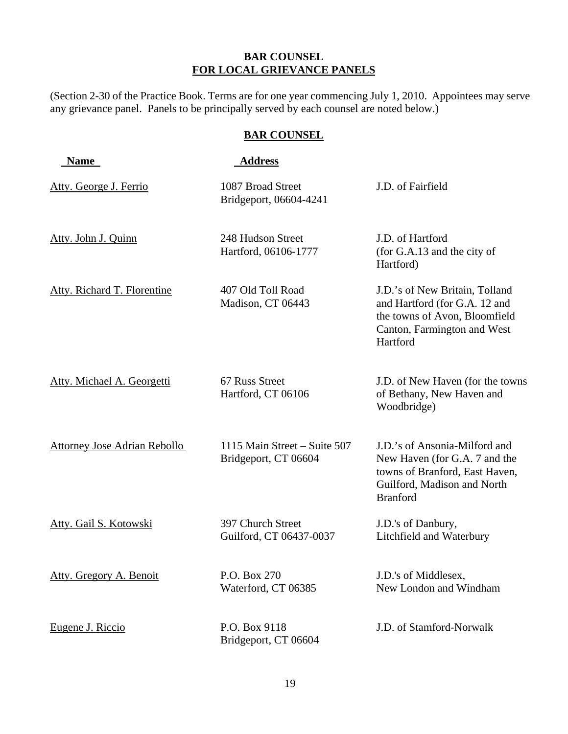### **BAR COUNSEL FOR LOCAL GRIEVANCE PANELS**

(Section 2-30 of the Practice Book. Terms are for one year commencing July 1, 2010. Appointees may serve any grievance panel. Panels to be principally served by each counsel are noted below.)

### **BAR COUNSEL**

| <b>Name</b>                         | <b>Address</b>                                       |                                                                                                                                                    |
|-------------------------------------|------------------------------------------------------|----------------------------------------------------------------------------------------------------------------------------------------------------|
| Atty. George J. Ferrio              | 1087 Broad Street<br>Bridgeport, 06604-4241          | J.D. of Fairfield                                                                                                                                  |
| Atty. John J. Quinn                 | 248 Hudson Street<br>Hartford, 06106-1777            | J.D. of Hartford<br>(for G.A.13 and the city of<br>Hartford)                                                                                       |
| <b>Atty. Richard T. Florentine</b>  | 407 Old Toll Road<br>Madison, CT 06443               | J.D.'s of New Britain, Tolland<br>and Hartford (for G.A. 12 and<br>the towns of Avon, Bloomfield<br>Canton, Farmington and West<br>Hartford        |
| Atty. Michael A. Georgetti          | 67 Russ Street<br>Hartford, CT 06106                 | J.D. of New Haven (for the towns<br>of Bethany, New Haven and<br>Woodbridge)                                                                       |
| <b>Attorney Jose Adrian Rebollo</b> | 1115 Main Street - Suite 507<br>Bridgeport, CT 06604 | J.D.'s of Ansonia-Milford and<br>New Haven (for G.A. 7 and the<br>towns of Branford, East Haven,<br>Guilford, Madison and North<br><b>Branford</b> |
| Atty. Gail S. Kotowski              | 397 Church Street<br>Guilford, CT 06437-0037         | J.D.'s of Danbury,<br>Litchfield and Waterbury                                                                                                     |
| Atty. Gregory A. Benoit             | P.O. Box 270<br>Waterford, CT 06385                  | J.D.'s of Middlesex,<br>New London and Windham                                                                                                     |
| Eugene J. Riccio                    | P.O. Box 9118<br>Bridgeport, CT 06604                | J.D. of Stamford-Norwalk                                                                                                                           |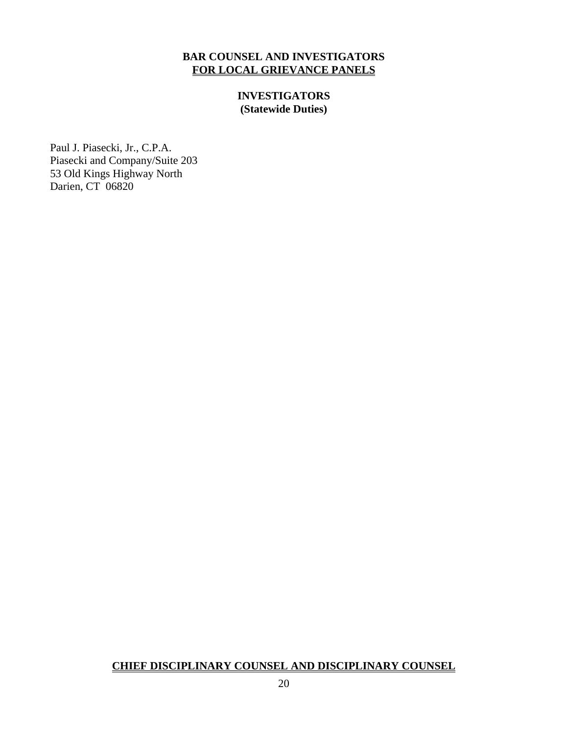### **BAR COUNSEL AND INVESTIGATORS FOR LOCAL GRIEVANCE PANELS**

**INVESTIGATORS (Statewide Duties)**

Paul J. Piasecki, Jr., C.P.A. Piasecki and Company/Suite 203 53 Old Kings Highway North Darien, CT 06820

#### **CHIEF DISCIPLINARY COUNSEL AND DISCIPLINARY COUNSEL**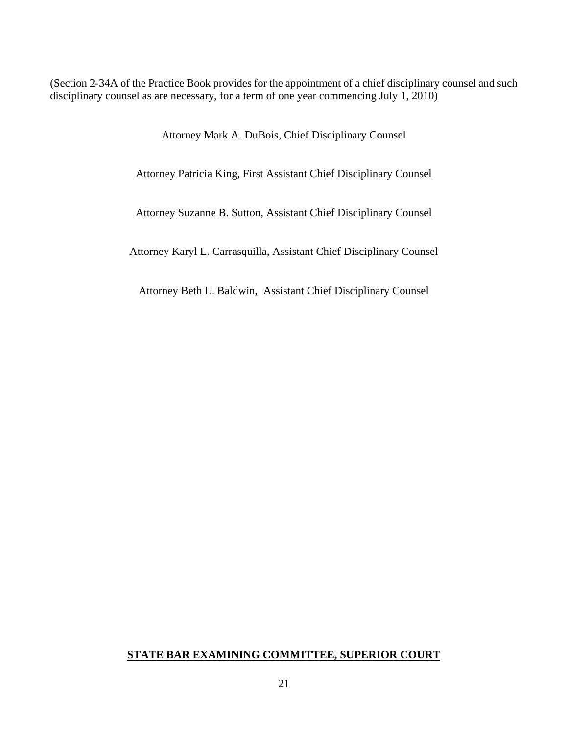(Section 2-34A of the Practice Book provides for the appointment of a chief disciplinary counsel and such disciplinary counsel as are necessary, for a term of one year commencing July 1, 2010)

Attorney Mark A. DuBois, Chief Disciplinary Counsel

Attorney Patricia King, First Assistant Chief Disciplinary Counsel

Attorney Suzanne B. Sutton, Assistant Chief Disciplinary Counsel

Attorney Karyl L. Carrasquilla, Assistant Chief Disciplinary Counsel

Attorney Beth L. Baldwin, Assistant Chief Disciplinary Counsel

#### **STATE BAR EXAMINING COMMITTEE, SUPERIOR COURT**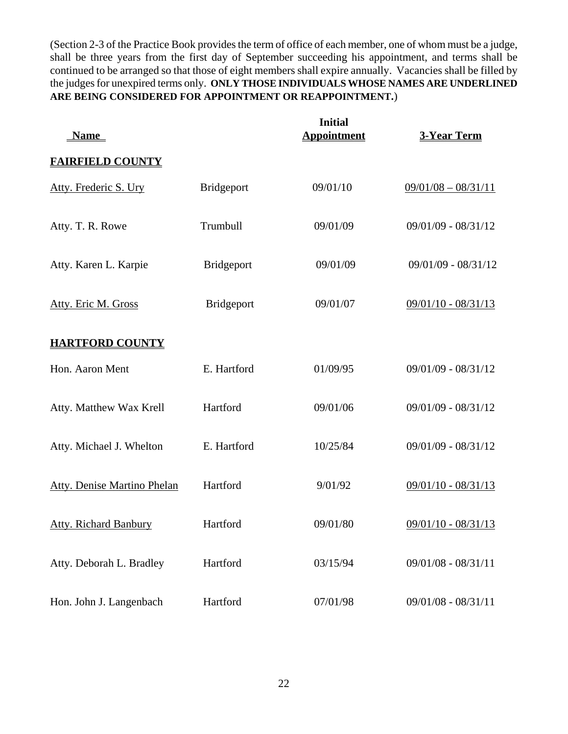(Section 2-3 of the Practice Book provides the term of office of each member, one of whom must be a judge, shall be three years from the first day of September succeeding his appointment, and terms shall be continued to be arranged so that those of eight members shall expire annually. Vacancies shall be filled by the judges for unexpired terms only. **ONLY THOSE INDIVIDUALS WHOSE NAMES ARE UNDERLINED ARE BEING CONSIDERED FOR APPOINTMENT OR REAPPOINTMENT.**)

| <u>Name</u>                        |                   | <b>Initial</b><br><b>Appointment</b> | <b>3-Year Term</b>    |
|------------------------------------|-------------------|--------------------------------------|-----------------------|
| <b>FAIRFIELD COUNTY</b>            |                   |                                      |                       |
| Atty. Frederic S. Ury              | <b>Bridgeport</b> | 09/01/10                             | $09/01/08 - 08/31/11$ |
| Atty. T. R. Rowe                   | Trumbull          | 09/01/09                             | $09/01/09 - 08/31/12$ |
| Atty. Karen L. Karpie              | <b>Bridgeport</b> | 09/01/09                             | 09/01/09 - 08/31/12   |
| Atty. Eric M. Gross                | <b>Bridgeport</b> | 09/01/07                             | 09/01/10 - 08/31/13   |
| <b>HARTFORD COUNTY</b>             |                   |                                      |                       |
| Hon. Aaron Ment                    | E. Hartford       | 01/09/95                             | $09/01/09 - 08/31/12$ |
| Atty. Matthew Wax Krell            | Hartford          | 09/01/06                             | $09/01/09 - 08/31/12$ |
| Atty. Michael J. Whelton           | E. Hartford       | 10/25/84                             | $09/01/09 - 08/31/12$ |
| <b>Atty. Denise Martino Phelan</b> | Hartford          | 9/01/92                              | $09/01/10 - 08/31/13$ |
| <b>Atty. Richard Banbury</b>       | Hartford          | 09/01/80                             | $09/01/10 - 08/31/13$ |
| Atty. Deborah L. Bradley           | Hartford          | 03/15/94                             | 09/01/08 - 08/31/11   |
| Hon. John J. Langenbach            | Hartford          | 07/01/98                             | 09/01/08 - 08/31/11   |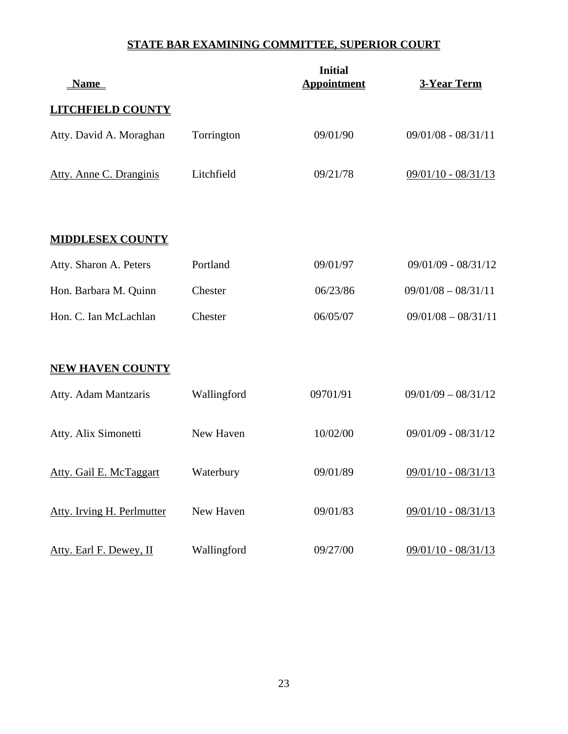## **STATE BAR EXAMINING COMMITTEE, SUPERIOR COURT**

| <u>Name</u>                |             | <b>Initial</b><br><b>Appointment</b> | 3-Year Term           |
|----------------------------|-------------|--------------------------------------|-----------------------|
| <b>LITCHFIELD COUNTY</b>   |             |                                      |                       |
| Atty. David A. Moraghan    | Torrington  | 09/01/90                             | $09/01/08 - 08/31/11$ |
| Atty. Anne C. Dranginis    | Litchfield  | 09/21/78                             | 09/01/10 - 08/31/13   |
| <b>MIDDLESEX COUNTY</b>    |             |                                      |                       |
| Atty. Sharon A. Peters     | Portland    | 09/01/97                             | $09/01/09 - 08/31/12$ |
| Hon. Barbara M. Quinn      | Chester     | 06/23/86                             | $09/01/08 - 08/31/11$ |
| Hon. C. Ian McLachlan      | Chester     | 06/05/07                             | $09/01/08 - 08/31/11$ |
| <b>NEW HAVEN COUNTY</b>    |             |                                      |                       |
| Atty. Adam Mantzaris       | Wallingford | 09701/91                             | $09/01/09 - 08/31/12$ |
| Atty. Alix Simonetti       | New Haven   | 10/02/00                             | 09/01/09 - 08/31/12   |
| Atty. Gail E. McTaggart    | Waterbury   | 09/01/89                             | 09/01/10 - 08/31/13   |
| Atty. Irving H. Perlmutter | New Haven   | 09/01/83                             | $09/01/10 - 08/31/13$ |
| Atty. Earl F. Dewey, II    | Wallingford | 09/27/00                             | $09/01/10 - 08/31/13$ |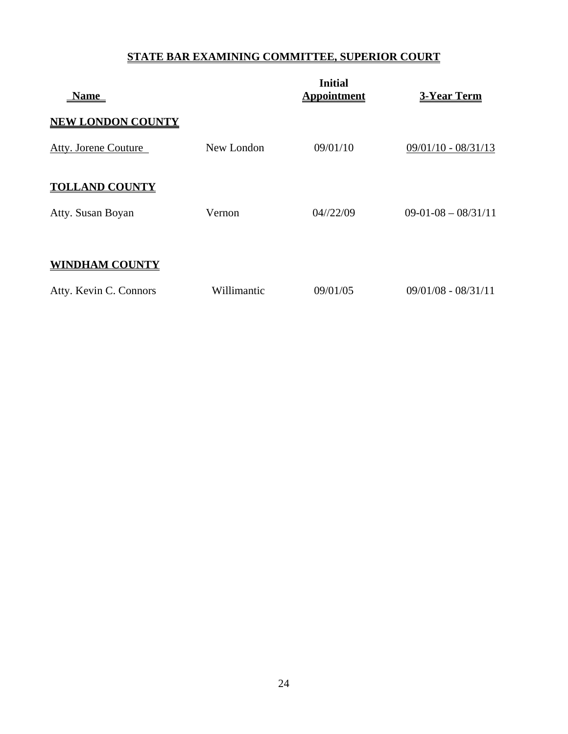### **STATE BAR EXAMINING COMMITTEE, SUPERIOR COURT**

| <b>Name</b>              |             | <b>Initial</b><br><b>Appointment</b> | <b>3-Year Term</b>    |
|--------------------------|-------------|--------------------------------------|-----------------------|
| <b>NEW LONDON COUNTY</b> |             |                                      |                       |
| Atty. Jorene Couture     | New London  | 09/01/10                             | $09/01/10 - 08/31/13$ |
| <b>TOLLAND COUNTY</b>    |             |                                      |                       |
| Atty. Susan Boyan        | Vernon      | $04/\frac{22}{09}$                   | $09-01-08-08/31/11$   |
|                          |             |                                      |                       |
| NDHAM COUNTY             |             |                                      |                       |
| Atty. Kevin C. Connors   | Willimantic | 09/01/05                             | $09/01/08 - 08/31/11$ |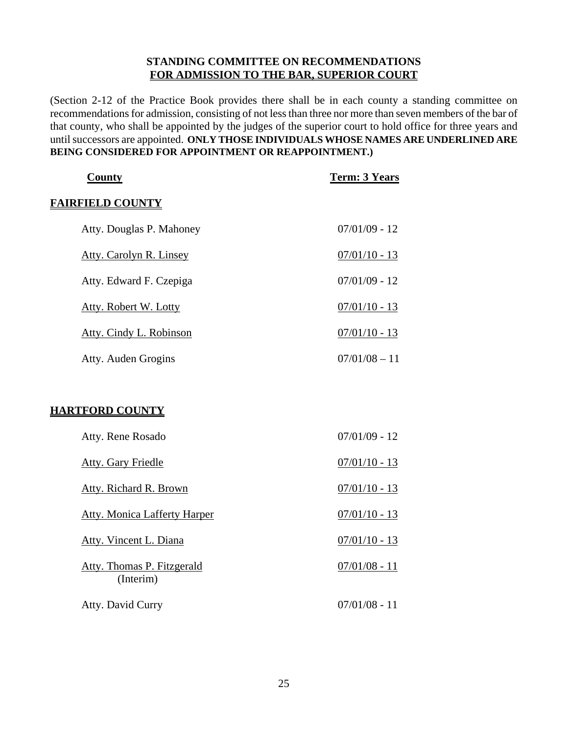#### **STANDING COMMITTEE ON RECOMMENDATIONS FOR ADMISSION TO THE BAR, SUPERIOR COURT**

(Section 2-12 of the Practice Book provides there shall be in each county a standing committee on recommendations for admission, consisting of not less than three nor more than seven members of the bar of that county, who shall be appointed by the judges of the superior court to hold office for three years and until successors are appointed. **ONLY THOSE INDIVIDUALS WHOSE NAMES ARE UNDERLINED ARE BEING CONSIDERED FOR APPOINTMENT OR REAPPOINTMENT.)** 

| <b>County</b>                           | <b>Term: 3 Years</b> |
|-----------------------------------------|----------------------|
| <b>FAIRFIELD COUNTY</b>                 |                      |
| Atty. Douglas P. Mahoney                | $07/01/09 - 12$      |
| Atty. Carolyn R. Linsey                 | $07/01/10 - 13$      |
| Atty. Edward F. Czepiga                 | $07/01/09 - 12$      |
| <b>Atty. Robert W. Lotty</b>            | $07/01/10 - 13$      |
| Atty. Cindy L. Robinson                 | $07/01/10 - 13$      |
| Atty. Auden Grogins                     | $07/01/08 - 11$      |
|                                         |                      |
| <u>HARTFORD COUNTY</u>                  |                      |
| Atty. Rene Rosado                       | $07/01/09 - 12$      |
| <b>Atty. Gary Friedle</b>               | $07/01/10 - 13$      |
| <b>Atty. Richard R. Brown</b>           | $07/01/10 - 13$      |
| <b>Atty. Monica Lafferty Harper</b>     | $07/01/10 - 13$      |
| Atty. Vincent L. Diana                  | $07/01/10 - 13$      |
| Atty. Thomas P. Fitzgerald<br>(Interim) | $07/01/08 - 11$      |
| Atty. David Curry                       | $07/01/08 - 11$      |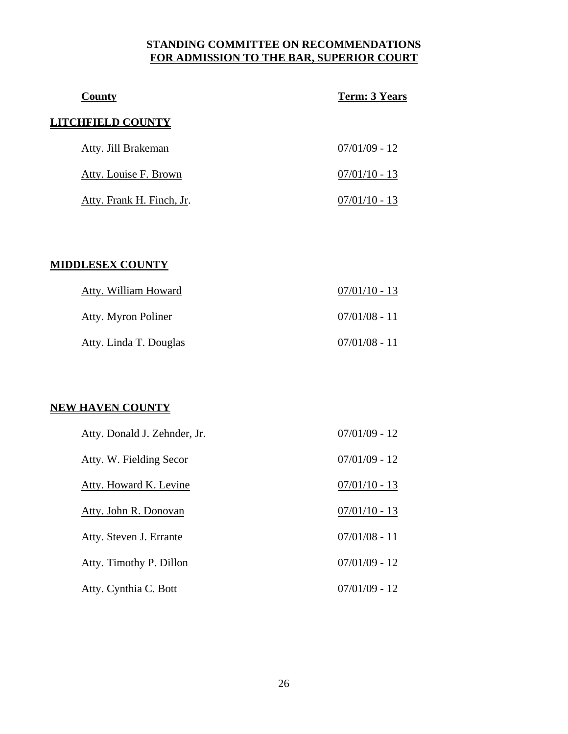### **STANDING COMMITTEE ON RECOMMENDATIONS FOR ADMISSION TO THE BAR, SUPERIOR COURT**

| County                    | <b>Term: 3 Years</b> |
|---------------------------|----------------------|
| LITCHFIELD COUNTY         |                      |
| Atty. Jill Brakeman       | $07/01/09 - 12$      |
| Atty. Louise F. Brown     | $07/01/10 - 13$      |
| Atty. Frank H. Finch, Jr. | $07/01/10 - 13$      |

### **MIDDLESEX COUNTY**

| Atty. William Howard   | $07/01/10 - 13$ |
|------------------------|-----------------|
| Atty. Myron Poliner    | $07/01/08 - 11$ |
| Atty. Linda T. Douglas | $07/01/08 - 11$ |

### **NEW HAVEN COUNTY**

| Atty. Donald J. Zehnder, Jr. | $07/01/09 - 12$ |
|------------------------------|-----------------|
| Atty. W. Fielding Secor      | $07/01/09 - 12$ |
| Atty. Howard K. Levine       | $07/01/10 - 13$ |
| Atty. John R. Donovan        | $07/01/10 - 13$ |
| Atty. Steven J. Errante      | $07/01/08 - 11$ |
| Atty. Timothy P. Dillon      | $07/01/09 - 12$ |
| Atty. Cynthia C. Bott        | $07/01/09 - 12$ |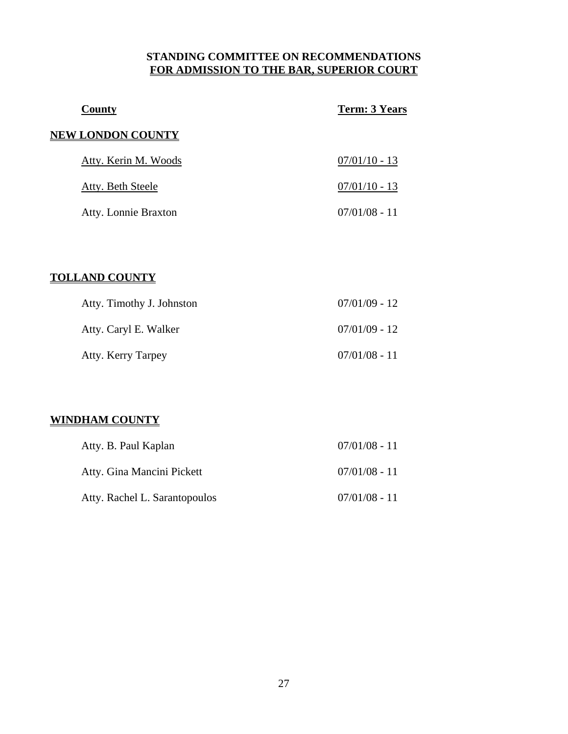### **STANDING COMMITTEE ON RECOMMENDATIONS FOR ADMISSION TO THE BAR, SUPERIOR COURT**

| County                   | <b>Term: 3 Years</b> |
|--------------------------|----------------------|
| <b>NEW LONDON COUNTY</b> |                      |
| Atty. Kerin M. Woods     | $07/01/10 - 13$      |
| Atty. Beth Steele        | $07/01/10 - 13$      |
| Atty. Lonnie Braxton     | $07/01/08 - 11$      |

### **TOLLAND COUNTY**

| Atty. Timothy J. Johnston | $07/01/09 - 12$ |
|---------------------------|-----------------|
| Atty. Caryl E. Walker     | $07/01/09 - 12$ |
| Atty. Kerry Tarpey        | $07/01/08 - 11$ |

### **WINDHAM COUNTY**

| Atty. B. Paul Kaplan          | $07/01/08 - 11$ |
|-------------------------------|-----------------|
| Atty. Gina Mancini Pickett    | $07/01/08 - 11$ |
| Atty. Rachel L. Sarantopoulos | $07/01/08 - 11$ |